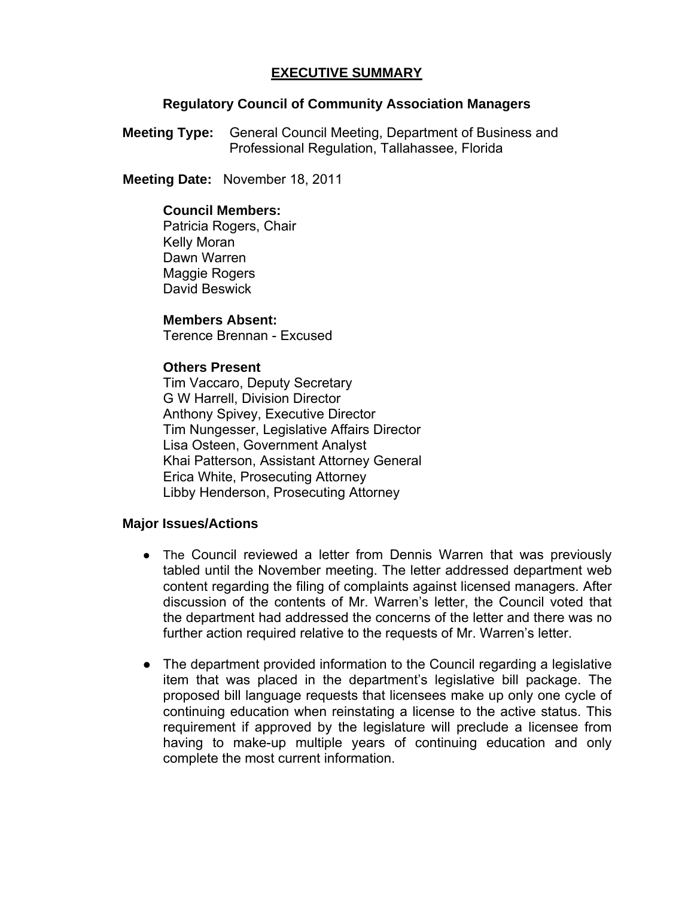# **EXECUTIVE SUMMARY**

## **Regulatory Council of Community Association Managers**

**Meeting Type:** General Council Meeting, Department of Business and Professional Regulation, Tallahassee, Florida

 **Meeting Date:** November 18, 2011

### **Council Members:**

Patricia Rogers, Chair Kelly Moran Dawn Warren Maggie Rogers David Beswick

#### **Members Absent:**

Terence Brennan - Excused

## **Others Present**

Tim Vaccaro, Deputy Secretary G W Harrell, Division Director Anthony Spivey, Executive Director Tim Nungesser, Legislative Affairs Director Lisa Osteen, Government Analyst Khai Patterson, Assistant Attorney General Erica White, Prosecuting Attorney Libby Henderson, Prosecuting Attorney

## **Major Issues/Actions**

- The Council reviewed a letter from Dennis Warren that was previously tabled until the November meeting. The letter addressed department web content regarding the filing of complaints against licensed managers. After discussion of the contents of Mr. Warren's letter, the Council voted that the department had addressed the concerns of the letter and there was no further action required relative to the requests of Mr. Warren's letter.
- The department provided information to the Council regarding a legislative item that was placed in the department's legislative bill package. The proposed bill language requests that licensees make up only one cycle of continuing education when reinstating a license to the active status. This requirement if approved by the legislature will preclude a licensee from having to make-up multiple years of continuing education and only complete the most current information.